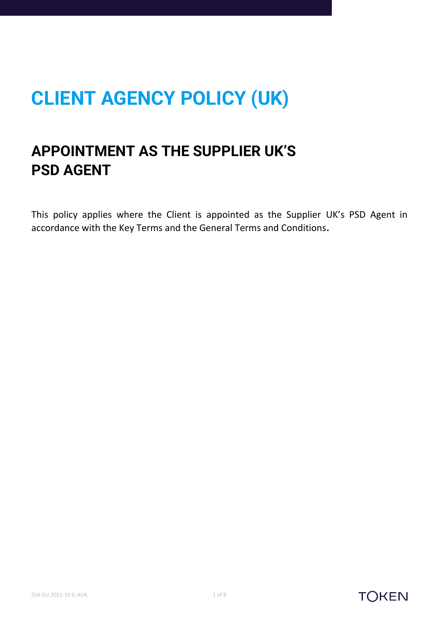# **CLIENT AGENCY POLICY (UK)**

## **APPOINTMENT AS THE SUPPLIER UK'S PSD AGENT**

This policy applies where the Client is appointed as the Supplier UK's PSD Agent in accordance with the Key Terms and the General Terms and Conditions**.**

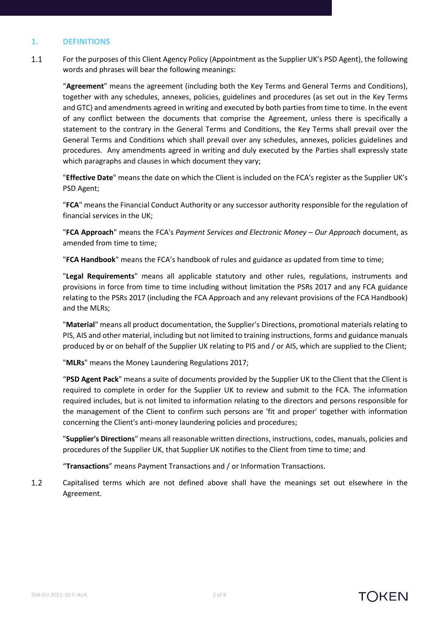#### **1. DEFINITIONS**

 $1.1$ For the purposes of this Client Agency Policy (Appointment as the Supplier UK's PSD Agent), the following words and phrases will bear the following meanings:

"**Agreement**" means the agreement (including both the Key Terms and General Terms and Conditions), together with any schedules, annexes, policies, guidelines and procedures (as set out in the Key Terms and GTC) and amendments agreed in writing and executed by both parties from time to time. In the event of any conflict between the documents that comprise the Agreement, unless there is specifically a statement to the contrary in the General Terms and Conditions, the Key Terms shall prevail over the General Terms and Conditions which shall prevail over any schedules, annexes, policies guidelines and procedures. Any amendments agreed in writing and duly executed by the Parties shall expressly state which paragraphs and clauses in which document they vary;

"**Effective Date**" means the date on which the Client is included on the FCA's register as the Supplier UK's PSD Agent;

"**FCA**" means the Financial Conduct Authority or any successor authority responsible for the regulation of financial services in the UK;

"**FCA Approach**" means the FCA's *Payment Services and Electronic Money – Our Approach* document, as amended from time to time;

"**FCA Handbook**" means the FCA's handbook of rules and guidance as updated from time to time;

"**Legal Requirements**" means all applicable statutory and other rules, regulations, instruments and provisions in force from time to time including without limitation the PSRs 2017 and any FCA guidance relating to the PSRs 2017 (including the FCA Approach and any relevant provisions of the FCA Handbook) and the MLRs;

"**Material**" means all product documentation, the Supplier's Directions, promotional materials relating to PIS, AIS and other material, including but not limited to training instructions, forms and guidance manuals produced by or on behalf of the Supplier UK relating to PIS and / or AIS, which are supplied to the Client;

"**MLRs**" means the Money Laundering Regulations 2017;

"**PSD Agent Pack**" means a suite of documents provided by the Supplier UK to the Client that the Client is required to complete in order for the Supplier UK to review and submit to the FCA. The information required includes, but is not limited to information relating to the directors and persons responsible for the management of the Client to confirm such persons are 'fit and proper' together with information concerning the Client's anti-money laundering policies and procedures;

"**Supplier's Directions**" means all reasonable written directions, instructions, codes, manuals, policies and procedures of the Supplier UK, that Supplier UK notifies to the Client from time to time; and

"**Transactions**" means Payment Transactions and / or Information Transactions.

 $1.2$ Capitalised terms which are not defined above shall have the meanings set out elsewhere in the Agreement.

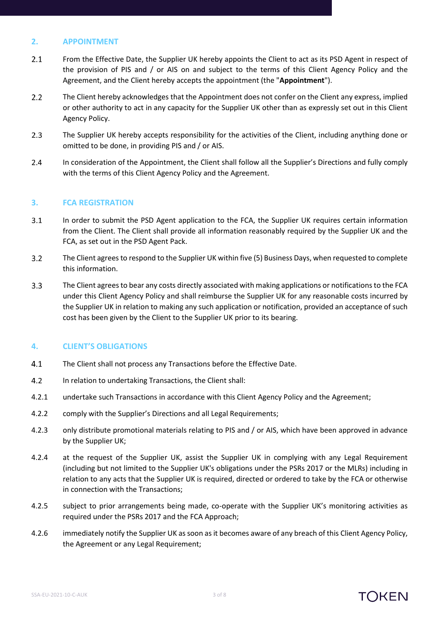#### **2. APPOINTMENT**

- $2.1$ From the Effective Date, the Supplier UK hereby appoints the Client to act as its PSD Agent in respect of the provision of PIS and / or AIS on and subject to the terms of this Client Agency Policy and the Agreement, and the Client hereby accepts the appointment (the "**Appointment**").
- $2.2$ The Client hereby acknowledges that the Appointment does not confer on the Client any express, implied or other authority to act in any capacity for the Supplier UK other than as expressly set out in this Client Agency Policy.
- $2.3$ The Supplier UK hereby accepts responsibility for the activities of the Client, including anything done or omitted to be done, in providing PIS and / or AIS.
- $2.4$ In consideration of the Appointment, the Client shall follow all the Supplier's Directions and fully comply with the terms of this Client Agency Policy and the Agreement.

#### <span id="page-2-0"></span>**3. FCA REGISTRATION**

- $3.1$ In order to submit the PSD Agent application to the FCA, the Supplier UK requires certain information from the Client. The Client shall provide all information reasonably required by the Supplier UK and the FCA, as set out in the PSD Agent Pack.
- $3.2$ The Client agreesto respond to the Supplier UK within five (5) Business Days, when requested to complete this information.
- $3.3$ The Client agrees to bear any costs directly associated with making applications or notifications to the FCA under this Client Agency Policy and shall reimburse the Supplier UK for any reasonable costs incurred by the Supplier UK in relation to making any such application or notification, provided an acceptance of such cost has been given by the Client to the Supplier UK prior to its bearing.

#### **4. CLIENT'S OBLIGATIONS**

- $4.1$ The Client shall not process any Transactions before the Effective Date.
- $4.2$ In relation to undertaking Transactions, the Client shall:
- 4.2.1 undertake such Transactions in accordance with this Client Agency Policy and the Agreement;
- 4.2.2 comply with the Supplier's Directions and all Legal Requirements;
- 4.2.3 only distribute promotional materials relating to PIS and / or AIS, which have been approved in advance by the Supplier UK;
- 4.2.4 at the request of the Supplier UK, assist the Supplier UK in complying with any Legal Requirement (including but not limited to the Supplier UK's obligations under the PSRs 2017 or the MLRs) including in relation to any acts that the Supplier UK is required, directed or ordered to take by the FCA or otherwise in connection with the Transactions;
- 4.2.5 subject to prior arrangements being made, co-operate with the Supplier UK's monitoring activities as required under the PSRs 2017 and the FCA Approach;
- 4.2.6 immediately notify the Supplier UK as soon as it becomes aware of any breach of this Client Agency Policy, the Agreement or any Legal Requirement;

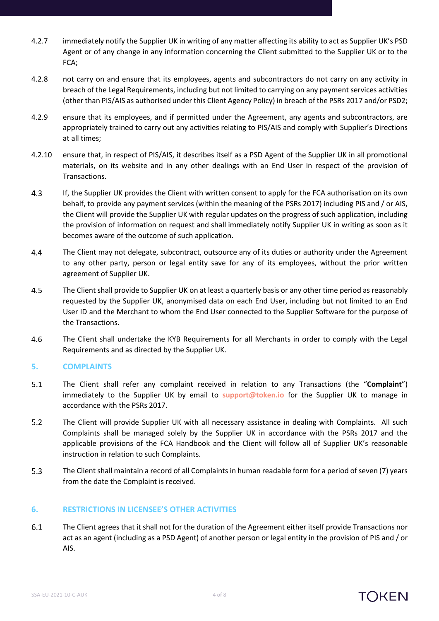- 4.2.7 immediately notify the Supplier UK in writing of any matter affecting its ability to act as Supplier UK's PSD Agent or of any change in any information concerning the Client submitted to the Supplier UK or to the FCA;
- 4.2.8 not carry on and ensure that its employees, agents and subcontractors do not carry on any activity in breach of the Legal Requirements, including but not limited to carrying on any payment services activities (other than PIS/AIS as authorised under this Client Agency Policy) in breach of the PSRs 2017 and/or PSD2;
- 4.2.9 ensure that its employees, and if permitted under the Agreement, any agents and subcontractors, are appropriately trained to carry out any activities relating to PIS/AIS and comply with Supplier's Directions at all times;
- 4.2.10 ensure that, in respect of PIS/AIS, it describes itself as a PSD Agent of the Supplier UK in all promotional materials, on its website and in any other dealings with an End User in respect of the provision of Transactions.
- $4.3$ If, the Supplier UK provides the Client with written consent to apply for the FCA authorisation on its own behalf, to provide any payment services (within the meaning of the PSRs 2017) including PIS and / or AIS, the Client will provide the Supplier UK with regular updates on the progress of such application, including the provision of information on request and shall immediately notify Supplier UK in writing as soon as it becomes aware of the outcome of such application.
- $4.4$ The Client may not delegate, subcontract, outsource any of its duties or authority under the Agreement to any other party, person or legal entity save for any of its employees, without the prior written agreement of Supplier UK.
- 4.5 The Client shall provide to Supplier UK on at least a quarterly basis or any other time period as reasonably requested by the Supplier UK, anonymised data on each End User, including but not limited to an End User ID and the Merchant to whom the End User connected to the Supplier Software for the purpose of the Transactions.
- 4.6 The Client shall undertake the KYB Requirements for all Merchants in order to comply with the Legal Requirements and as directed by the Supplier UK.

#### **5. COMPLAINTS**

- $5.1$ The Client shall refer any complaint received in relation to any Transactions (the "**Complaint**") immediately to the Supplier UK by email to **[support@token.io](mailto:support@token.io)** for the Supplier UK to manage in accordance with the PSRs 2017.
- $5.2$ The Client will provide Supplier UK with all necessary assistance in dealing with Complaints. All such Complaints shall be managed solely by the Supplier UK in accordance with the PSRs 2017 and the applicable provisions of the FCA Handbook and the Client will follow all of Supplier UK's reasonable instruction in relation to such Complaints.
- $5.3$ The Client shall maintain a record of all Complaints in human readable form for a period of seven (7) years from the date the Complaint is received.

#### **6. RESTRICTIONS IN LICENSEE'S OTHER ACTIVITIES**

 $6.1$ The Client agrees that it shall not for the duration of the Agreement either itself provide Transactions nor act as an agent (including as a PSD Agent) of another person or legal entity in the provision of PIS and / or AIS.

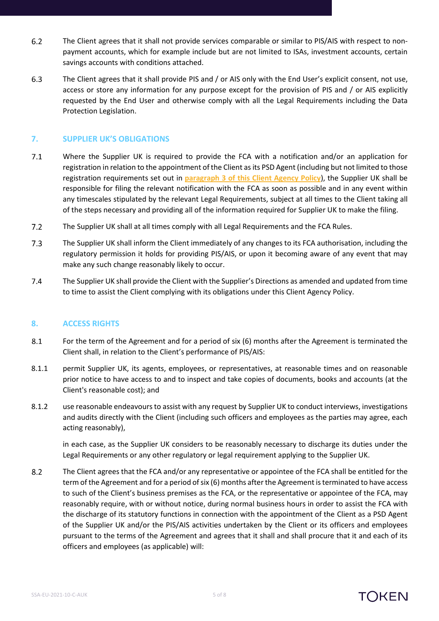- $6.2$ The Client agrees that it shall not provide services comparable or similar to PIS/AIS with respect to nonpayment accounts, which for example include but are not limited to ISAs, investment accounts, certain savings accounts with conditions attached.
- 6.3 The Client agrees that it shall provide PIS and / or AIS only with the End User's explicit consent, not use, access or store any information for any purpose except for the provision of PIS and / or AIS explicitly requested by the End User and otherwise comply with all the Legal Requirements including the Data Protection Legislation.

#### **7. SUPPLIER UK'S OBLIGATIONS**

- $7.1$ Where the Supplier UK is required to provide the FCA with a notification and/or an application for registration in relation to the appointment of the Client as its PSD Agent (including but not limited to those registration requirements set out in **paragraph [3](#page-2-0) of this Client Agency Policy**), the Supplier UK shall be responsible for filing the relevant notification with the FCA as soon as possible and in any event within any timescales stipulated by the relevant Legal Requirements, subject at all times to the Client taking all of the steps necessary and providing all of the information required for Supplier UK to make the filing.
- $7.2$ The Supplier UK shall at all times comply with all Legal Requirements and the FCA Rules.
- $7.3$ The Supplier UK shall inform the Client immediately of any changes to its FCA authorisation, including the regulatory permission it holds for providing PIS/AIS, or upon it becoming aware of any event that may make any such change reasonably likely to occur.
- $7.4$ The Supplier UK shall provide the Client with the Supplier's Directions as amended and updated from time to time to assist the Client complying with its obligations under this Client Agency Policy.

#### **8. ACCESS RIGHTS**

- 8.1 For the term of the Agreement and for a period of six (6) months after the Agreement is terminated the Client shall, in relation to the Client's performance of PIS/AIS:
- 8.1.1 permit Supplier UK, its agents, employees, or representatives, at reasonable times and on reasonable prior notice to have access to and to inspect and take copies of documents, books and accounts (at the Client's reasonable cost); and
- 8.1.2 use reasonable endeavours to assist with any request by Supplier UK to conduct interviews, investigations and audits directly with the Client (including such officers and employees as the parties may agree, each acting reasonably),

in each case, as the Supplier UK considers to be reasonably necessary to discharge its duties under the Legal Requirements or any other regulatory or legal requirement applying to the Supplier UK.

 $8.2$ The Client agrees that the FCA and/or any representative or appointee of the FCA shall be entitled for the term of the Agreement and for a period of six (6) months after the Agreement is terminated to have access to such of the Client's business premises as the FCA, or the representative or appointee of the FCA, may reasonably require, with or without notice, during normal business hours in order to assist the FCA with the discharge of its statutory functions in connection with the appointment of the Client as a PSD Agent of the Supplier UK and/or the PIS/AIS activities undertaken by the Client or its officers and employees pursuant to the terms of the Agreement and agrees that it shall and shall procure that it and each of its officers and employees (as applicable) will:

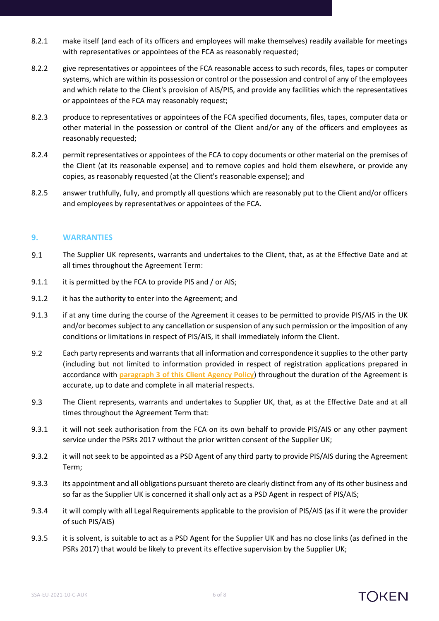- 8.2.1 make itself (and each of its officers and employees will make themselves) readily available for meetings with representatives or appointees of the FCA as reasonably requested;
- 8.2.2 give representatives or appointees of the FCA reasonable access to such records, files, tapes or computer systems, which are within its possession or control or the possession and control of any of the employees and which relate to the Client's provision of AIS/PIS, and provide any facilities which the representatives or appointees of the FCA may reasonably request;
- 8.2.3 produce to representatives or appointees of the FCA specified documents, files, tapes, computer data or other material in the possession or control of the Client and/or any of the officers and employees as reasonably requested;
- 8.2.4 permit representatives or appointees of the FCA to copy documents or other material on the premises of the Client (at its reasonable expense) and to remove copies and hold them elsewhere, or provide any copies, as reasonably requested (at the Client's reasonable expense); and
- 8.2.5 answer truthfully, fully, and promptly all questions which are reasonably put to the Client and/or officers and employees by representatives or appointees of the FCA.

#### **9. WARRANTIES**

- $9.1$ The Supplier UK represents, warrants and undertakes to the Client, that, as at the Effective Date and at all times throughout the Agreement Term:
- 9.1.1 it is permitted by the FCA to provide PIS and / or AIS;
- 9.1.2 it has the authority to enter into the Agreement; and
- 9.1.3 if at any time during the course of the Agreement it ceases to be permitted to provide PIS/AIS in the UK and/or becomes subject to any cancellation or suspension of any such permission or the imposition of any conditions or limitations in respect of PIS/AIS, it shall immediately inform the Client.
- $9.2$ Each party represents and warrants that all information and correspondence it supplies to the other party (including but not limited to information provided in respect of registration applications prepared in accordance with **paragraph [3](#page-2-0) of this Client Agency Policy**) throughout the duration of the Agreement is accurate, up to date and complete in all material respects.
- 9.3 The Client represents, warrants and undertakes to Supplier UK, that, as at the Effective Date and at all times throughout the Agreement Term that:
- 9.3.1 it will not seek authorisation from the FCA on its own behalf to provide PIS/AIS or any other payment service under the PSRs 2017 without the prior written consent of the Supplier UK;
- 9.3.2 it will not seek to be appointed as a PSD Agent of any third party to provide PIS/AIS during the Agreement Term;
- 9.3.3 its appointment and all obligations pursuant thereto are clearly distinct from any of its other business and so far as the Supplier UK is concerned it shall only act as a PSD Agent in respect of PIS/AIS;
- 9.3.4 it will comply with all Legal Requirements applicable to the provision of PIS/AIS (as if it were the provider of such PIS/AIS)
- 9.3.5 it is solvent, is suitable to act as a PSD Agent for the Supplier UK and has no close links (as defined in the PSRs 2017) that would be likely to prevent its effective supervision by the Supplier UK;

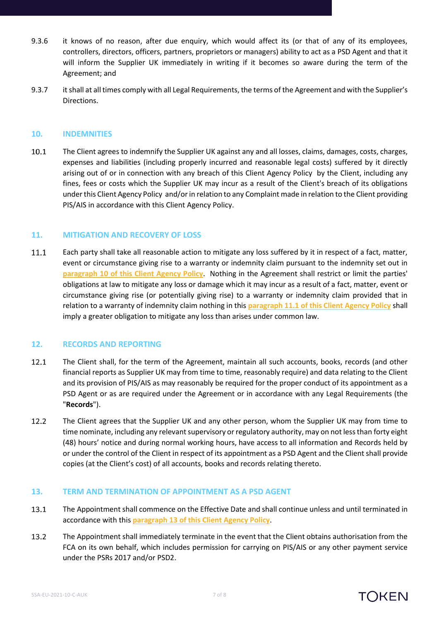- 9.3.6 it knows of no reason, after due enquiry, which would affect its (or that of any of its employees, controllers, directors, officers, partners, proprietors or managers) ability to act as a PSD Agent and that it will inform the Supplier UK immediately in writing if it becomes so aware during the term of the Agreement; and
- 9.3.7 it shall at all times comply with all Legal Requirements, the terms of the Agreement and with the Supplier's Directions.

#### <span id="page-6-0"></span>**10. INDEMNITIES**

10.1 The Client agrees to indemnify the Supplier UK against any and all losses, claims, damages, costs, charges, expenses and liabilities (including properly incurred and reasonable legal costs) suffered by it directly arising out of or in connection with any breach of this Client Agency Policy by the Client, including any fines, fees or costs which the Supplier UK may incur as a result of the Client's breach of its obligations under this Client Agency Policy and/or in relation to any Complaint made in relation to the Client providing PIS/AIS in accordance with this Client Agency Policy.

#### **11. MITIGATION AND RECOVERY OF LOSS**

<span id="page-6-1"></span>11.1 Each party shall take all reasonable action to mitigate any loss suffered by it in respect of a fact, matter, event or circumstance giving rise to a warranty or indemnity claim pursuant to the indemnity set out in **paragraph [10](#page-6-0) of this Client Agency Policy**. Nothing in the Agreement shall restrict or limit the parties' obligations at law to mitigate any loss or damage which it may incur as a result of a fact, matter, event or circumstance giving rise (or potentially giving rise) to a warranty or indemnity claim provided that in relation to a warranty of indemnity claim nothing in this **paragraph [11.1](#page-6-1) of this Client Agency Policy** shall imply a greater obligation to mitigate any loss than arises under common law.

#### **12. RECORDS AND REPORTING**

- <span id="page-6-3"></span>12.1 The Client shall, for the term of the Agreement, maintain all such accounts, books, records (and other financial reports as Supplier UK may from time to time, reasonably require) and data relating to the Client and its provision of PIS/AIS as may reasonably be required for the proper conduct of its appointment as a PSD Agent or as are required under the Agreement or in accordance with any Legal Requirements (the "**Records**").
- 12.2 The Client agrees that the Supplier UK and any other person, whom the Supplier UK may from time to time nominate, including any relevant supervisory or regulatory authority, may on not less than forty eight (48) hours' notice and during normal working hours, have access to all information and Records held by or under the control of the Client in respect of its appointment as a PSD Agent and the Client shall provide copies (at the Client's cost) of all accounts, books and records relating thereto.

#### <span id="page-6-2"></span>**13. TERM AND TERMINATION OF APPOINTMENT AS A PSD AGENT**

- 13.1 The Appointment shall commence on the Effective Date and shall continue unless and until terminated in accordance with this **paragraph [13](#page-6-2) of this Client Agency Policy**.
- 13.2 The Appointment shall immediately terminate in the event that the Client obtains authorisation from the FCA on its own behalf, which includes permission for carrying on PIS/AIS or any other payment service under the PSRs 2017 and/or PSD2.